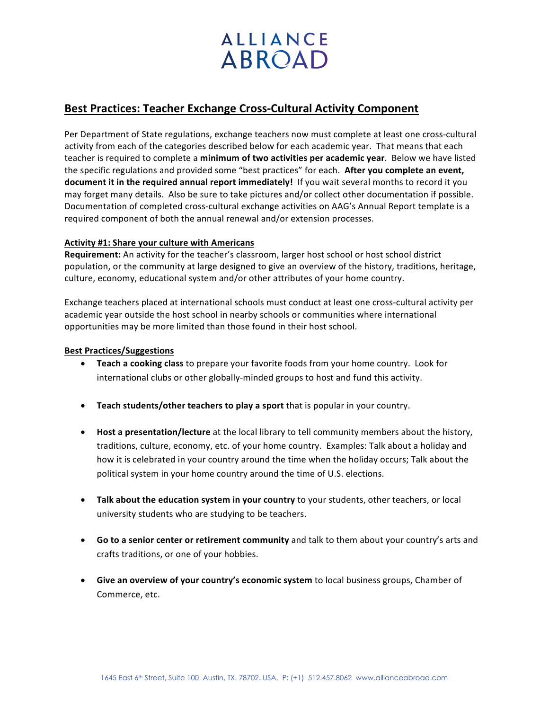# **ALLIANCE ABROAD**

## **Best Practices: Teacher Exchange Cross-Cultural Activity Component**

Per Department of State regulations, exchange teachers now must complete at least one cross-cultural activity from each of the categories described below for each academic year. That means that each teacher is required to complete a minimum of two activities per academic year. Below we have listed the specific regulations and provided some "best practices" for each. **After you complete an event, document it in the required annual report immediately!** If you wait several months to record it you may forget many details. Also be sure to take pictures and/or collect other documentation if possible. Documentation of completed cross-cultural exchange activities on AAG's Annual Report template is a required component of both the annual renewal and/or extension processes.

### Activity #1: Share your culture with Americans

**Requirement:** An activity for the teacher's classroom, larger host school or host school district population, or the community at large designed to give an overview of the history, traditions, heritage, culture, economy, educational system and/or other attributes of your home country.

Exchange teachers placed at international schools must conduct at least one cross-cultural activity per academic year outside the host school in nearby schools or communities where international opportunities may be more limited than those found in their host school.

#### **Best Practices/Suggestions**

- **Teach a cooking class** to prepare your favorite foods from your home country. Look for international clubs or other globally-minded groups to host and fund this activity.
- Teach students/other teachers to play a sport that is popular in your country.
- **Host a presentation/lecture** at the local library to tell community members about the history, traditions, culture, economy, etc. of your home country. Examples: Talk about a holiday and how it is celebrated in your country around the time when the holiday occurs; Talk about the political system in your home country around the time of U.S. elections.
- Talk about the education system in your country to your students, other teachers, or local university students who are studying to be teachers.
- Go to a senior center or retirement community and talk to them about your country's arts and crafts traditions, or one of your hobbies.
- Give an overview of your country's economic system to local business groups, Chamber of Commerce, etc.